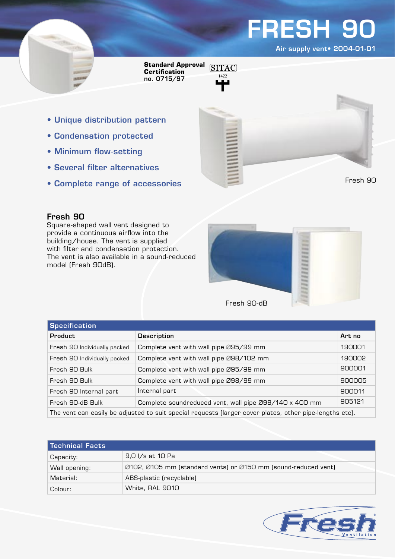Air supply vent• 2004-01-01

Fresh 90

**Standard Approval Certification** no. 0715/97

- 1422
- Unique distribution pattern
- Condensation protected
- Minimum flow-setting
- Several filter alternatives
- Complete range of accessories

### Fresh 90

Square-shaped wall vent designed to provide a continuous airflow into the building/house. The vent is supplied with filter and condensation protection. The vent is also available in a sound-reduced model (Fresh 90dB).



| <b>Specification</b>                                                                                    |                                                        |        |  |
|---------------------------------------------------------------------------------------------------------|--------------------------------------------------------|--------|--|
| <b>Product</b>                                                                                          | <b>Description</b>                                     | Art no |  |
| Fresh 90 Individually packed                                                                            | Complete vent with wall pipe Ø95/99 mm                 | 190001 |  |
| Fresh 90 Individually packed                                                                            | Complete vent with wall pipe Ø98/102 mm                | 190002 |  |
| Fresh 90 Bulk                                                                                           | Complete vent with wall pipe Ø95/99 mm                 | 900001 |  |
| Fresh 90 Bulk                                                                                           | Complete vent with wall pipe Ø98/99 mm                 | 900005 |  |
| Fresh 90 Internal part                                                                                  | Internal part                                          | 900011 |  |
| Fresh 90-dB Bulk                                                                                        | Complete soundreduced vent, wall pipe Ø98/140 x 400 mm | 905121 |  |
| The vent can easily be adjusted to suit special requests (larger cover plates, other pipe-lengths etc). |                                                        |        |  |

| Technical Facts |                                                                |  |
|-----------------|----------------------------------------------------------------|--|
| Capacity:       | 9,0 I/s at 10 Pa                                               |  |
| Wall opening:   | Ø102, Ø105 mm (standard vents) or Ø150 mm (sound-reduced vent) |  |
| Material:       | ABS-plastic (recyclable)                                       |  |
| Colour:         | White, RAL 9010                                                |  |

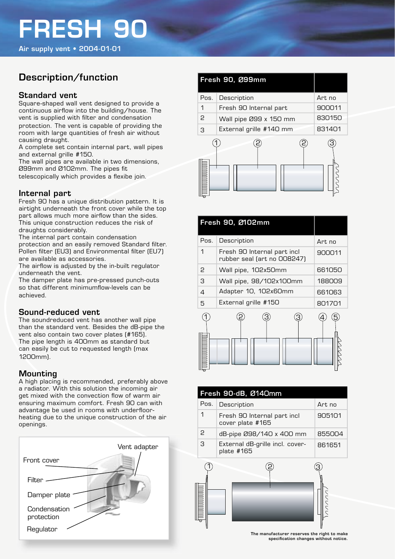Air supply vent • 2004-01-01

### Description/function

### Standard vent

Square-shaped wall vent designed to provide a continuous airflow into the building/house. The vent is supplied with filter and condensation protection. The vent is capable of providing the room with large quantities of fresh air without causing draught.

A complete set contain internal part, wall pipes and external grille #150.

The wall pipes are available in two dimensions, Ø99mm and Ø102mm. The pipes fit telescopically which provides a flexibe join.

### Internal part

Fresh 90 has a unique distribution pattern. It is airtight underneath the front cover while the top part allows much more airflow than the sides. This unique construction reduces the risk of draughts considerably.

The internal part contain condensation protection and an easily removed Standard filter. Pollen filter (EU3) and Environmental filter (EU7) are available as accessories.

The airflow is adjusted by the in-built regulator underneath the vent.

The damper plate has pre-pressed punch-outs so that different minimumflow-levels can be achieved.

### Sound-reduced vent

The soundreduced vent has another wall pipe than the standard vent. Besides the dB-pipe the vent also contain two cover plates (#165). The pipe length is 400mm as standard but can easily be cut to requested length (max 1200mm).

### Mounting

A high placing is recommended, preferably above a radiator. With this solution the incoming air get mixed with the convection flow of warm air ensuring maximum comfort. Fresh 90 can with advantage be used in rooms with underfloorheating due to the unique construction of the air openings.



| Fresh 90, Ø99mm |                                  |        |
|-----------------|----------------------------------|--------|
| Pos.            | Description                      | Art no |
| 1               | Fresh 90 Internal part<br>900011 |        |
| 2               | Wall pipe Ø99 x 150 mm           | 830150 |
| З               | External grille #140 mm          | 831401 |
|                 |                                  |        |

| Fresh 90, Ø102mm |                                                            |        |
|------------------|------------------------------------------------------------|--------|
| Pos.             | Description                                                | Art no |
| 1                | Fresh 90 Internal part incl<br>rubber seal (art no OO8247) | 900011 |
| 2                | Wall pipe, 102x50mm                                        | 661050 |
| З                | Wall pipe, 98/102x100mm                                    | 188009 |
| 4                | Adapter 10, 102x60mm                                       | 661063 |
| 5                | External grille #150                                       | 801701 |
|                  |                                                            |        |

| Fresh 90-dB, Ø140mm |                                                 |        |  |
|---------------------|-------------------------------------------------|--------|--|
| Pos.                | Description                                     | Art no |  |
| 1                   | Fresh 90 Internal part incl<br>cover plate #165 | 905101 |  |
| P                   | dB-pipe 098/140 x 400 mm                        | 855004 |  |
| З                   | External dB-grille incl. cover-<br>plate #165   | 861651 |  |



The manufacturer reserves the right to make specifi cation changes without notice.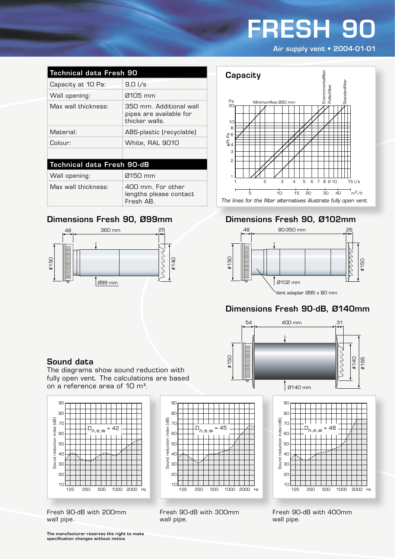Air supply vent • 2004-01-01

| <b>Technical data Fresh 90</b>    |                                                                      |  |  |
|-----------------------------------|----------------------------------------------------------------------|--|--|
| Capacity at 10 Pa:                | 9.01/s                                                               |  |  |
| Wall opening:                     | 0105 mm                                                              |  |  |
| Max wall thickness:               | 350 mm. Additional wall<br>pipes are available for<br>thicker walls. |  |  |
| Material:                         | ABS-plastic (recyclable)                                             |  |  |
| Colour:                           | White, RAL 9010                                                      |  |  |
|                                   |                                                                      |  |  |
| <b>Technical data Fresh 90-dB</b> |                                                                      |  |  |
| Wall opening:                     | 0150 mm                                                              |  |  |
| Max wall thickness:               | 400 mm. For other                                                    |  |  |

lengths please contact

Fresh AB.

### Dimensions Fresh 90, Ø99mm





### Dimensions Fresh 90, Ø102mm



### Dimensions Fresh 90-dB, Ø140mm





The diagrams show sound reduction with fully open vent. The calculations are based on a reference area of 10 m².



Fresh 90-dB with 200mm wall pipe.



Fresh 90-dB with 300mm wall pipe.



Fresh 90-dB with 400mm wall pipe.